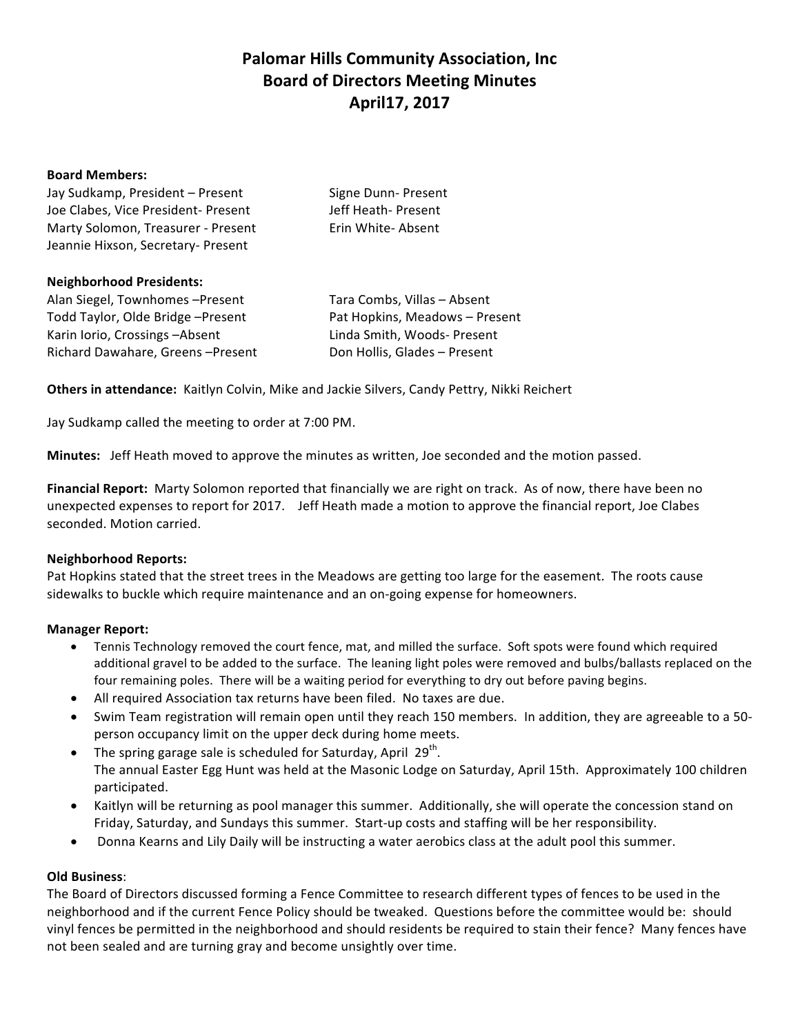# **Palomar Hills Community Association, Inc. Board of Directors Meeting Minutes April17, 2017**

#### **Board Members:**

| Jay Sudkamp, President - Present    | Signe Dunn-Present |
|-------------------------------------|--------------------|
| Joe Clabes, Vice President- Present | Jeff Heath-Present |
| Marty Solomon, Treasurer - Present  | Erin White-Absent  |
| Jeannie Hixson, Secretary- Present  |                    |

### **Neighborhood Presidents:**

Alan Siegel, Townhomes -Present Tara Combs, Villas - Absent Todd Taylor, Olde Bridge –Present **The Pat Hopkins, Meadows** – Present Karin Iorio, Crossings –Absent Linda Smith, Woods- Present Richard Dawahare, Greens -Present Don Hollis, Glades - Present

**Others in attendance:** Kaitlyn Colvin, Mike and Jackie Silvers, Candy Pettry, Nikki Reichert

Jay Sudkamp called the meeting to order at 7:00 PM.

**Minutes:** Jeff Heath moved to approve the minutes as written, Joe seconded and the motion passed.

**Financial Report:** Marty Solomon reported that financially we are right on track. As of now, there have been no unexpected expenses to report for 2017. Jeff Heath made a motion to approve the financial report, Joe Clabes seconded. Motion carried.

# **Neighborhood Reports:**

Pat Hopkins stated that the street trees in the Meadows are getting too large for the easement. The roots cause sidewalks to buckle which require maintenance and an on-going expense for homeowners.

# **Manager Report:**

- Tennis Technology removed the court fence, mat, and milled the surface. Soft spots were found which required additional gravel to be added to the surface. The leaning light poles were removed and bulbs/ballasts replaced on the four remaining poles. There will be a waiting period for everything to dry out before paving begins.
- All required Association tax returns have been filed. No taxes are due.
- Swim Team registration will remain open until they reach 150 members. In addition, they are agreeable to a 50person occupancy limit on the upper deck during home meets.
- The spring garage sale is scheduled for Saturday, April  $29^{th}$ . The annual Easter Egg Hunt was held at the Masonic Lodge on Saturday, April 15th. Approximately 100 children participated.
- Kaitlyn will be returning as pool manager this summer. Additionally, she will operate the concession stand on Friday, Saturday, and Sundays this summer. Start-up costs and staffing will be her responsibility.
- Donna Kearns and Lily Daily will be instructing a water aerobics class at the adult pool this summer.

# **Old Business**:

The Board of Directors discussed forming a Fence Committee to research different types of fences to be used in the neighborhood and if the current Fence Policy should be tweaked. Questions before the committee would be: should vinyl fences be permitted in the neighborhood and should residents be required to stain their fence? Many fences have not been sealed and are turning gray and become unsightly over time.